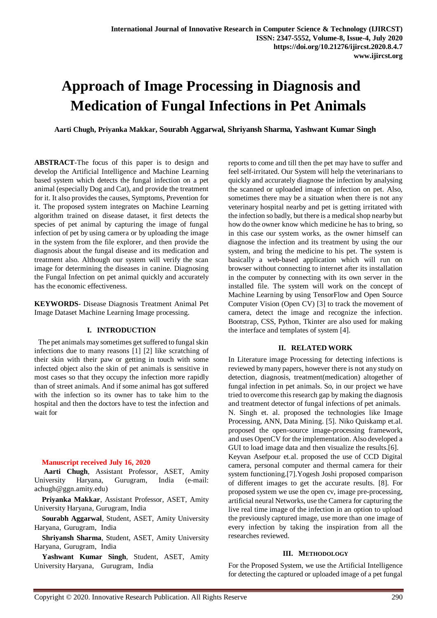# **Approach of Image Processing in Diagnosis and Medication of Fungal Infections in Pet Animals**

 **Aarti Chugh, Priyanka Makkar, Sourabh Aggarwal, Shriyansh Sharma, Yashwant Kumar Singh**

**ABSTRACT**-The focus of this paper is to design and develop the Artificial Intelligence and Machine Learning based system which detects the fungal infection on a pet animal (especially Dog and Cat), and provide the treatment for it. It also provides the causes, Symptoms, Prevention for it. The proposed system integrates on Machine Learning algorithm trained on disease dataset, it first detects the species of pet animal by capturing the image of fungal infection of pet by using camera or by uploading the image in the system from the file explorer, and then provide the diagnosis about the fungal disease and its medication and treatment also. Although our system will verify the scan image for determining the diseases in canine. Diagnosing the Fungal Infection on pet animal quickly and accurately has the economic effectiveness.

**KEYWORDS**- Disease Diagnosis Treatment Animal Pet Image Dataset Machine Learning Image processing.

# **I. INTRODUCTION**

 The pet animals may sometimes get suffered to fungal skin infections due to many reasons [1] [2] like scratching of their skin with their paw or getting in touch with some infected object also the skin of pet animals is sensitive in most cases so that they occupy the infection more rapidly than of street animals. And if some animal has got suffered with the infection so its owner has to take him to the hospital and then the doctors have to test the infection and wait for

### **Manuscript received July 16, 2020**

**Aarti Chugh**, Assistant Professor, ASET, Amity University Haryana, Gurugram, India (e-mail: [achugh@ggn.amity.edu\)](mailto:achugh@ggn.amity.edu)

**Priyanka Makkar**, Assistant Professor, ASET, Amity University Haryana, Gurugram, India

**Sourabh Aggarwal**, Student, ASET, Amity University Haryana, Gurugram, India

**Shriyansh Sharma**, Student, ASET, Amity University Haryana, Gurugram, India

 **Yashwant Kumar Singh**, Student, ASET, Amity University Haryana, Gurugram, India

reports to come and till then the pet may have to suffer and feel self-irritated. Our System will help the veterinarians to quickly and accurately diagnose the infection by analysing the scanned or uploaded image of infection on pet. Also, sometimes there may be a situation when there is not any veterinary hospital nearby and pet is getting irritated with the infection so badly, but there is a medical shop nearby but how do the owner know which medicine he has to bring, so in this case our system works, as the owner himself can diagnose the infection and its treatment by using the our system, and bring the medicine to his pet. The system is basically a web-based application which will run on browser without connecting to internet after its installation in the computer by connecting with its own server in the installed file. The system will work on the concept of Machine Learning by using TensorFlow and Open Source Computer Vision (Open CV) [3] to track the movement of camera, detect the image and recognize the infection. Bootstrap, CSS, Python, Tkinter are also used for making the interface and templates of system [4].

# **II. RELATED WORK**

In Literature image Processing for detecting infections is reviewed by many papers, however there is not any study on detection, diagnosis, treatment(medication) altogether of fungal infection in pet animals. So, in our project we have tried to overcome this research gap by making the diagnosis and treatment detector of fungal infections of pet animals. N. Singh et. al. proposed the technologies like Image Processing, ANN, Data Mining. [5]. Niko Quiskamp et.al. proposed the open-source image-processing framework, and uses OpenCV for the implementation. Also developed a GUI to load image data and then visualize the results.[6]. Keyvan Asefpour et.al. proposed the use of CCD Digital camera, personal computer and thermal camera for their system functioning.[7].Yogesh Joshi proposed comparison of different images to get the accurate results. [8]. For proposed system we use the open cv, image pre-processing, artificial neural Networks, use the Camera for capturing the live real time image of the infection in an option to upload the previously captured image, use more than one image of every infection by taking the inspiration from all the researches reviewed.

# **III. METHODOLOGY**

For the Proposed System, we use the Artificial Intelligence for detecting the captured or uploaded image of a pet fungal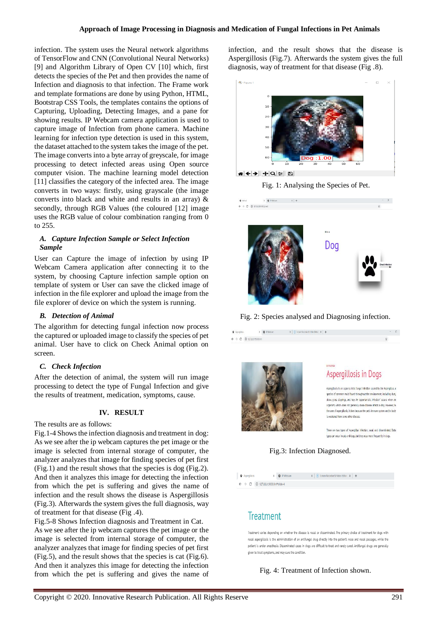infection. The system uses the Neural network algorithms of TensorFlow and CNN (Convolutional Neural Networks) [9] and Algorithm Library of Open CV [10] which, first detects the species of the Pet and then provides the name of Infection and diagnosis to that infection. The Frame work and template formations are done by using Python, HTML, Bootstrap CSS Tools, the templates contains the options of Capturing, Uploading, Detecting Images, and a pane for showing results. IP Webcam camera application is used to capture image of Infection from phone camera. Machine learning for infection type detection is used in this system, the dataset attached to the system takes the image of the pet. The image converts into a byte array of greyscale, for image processing to detect infected areas using Open source computer vision. The machine learning model detection [11] classifies the category of the infected area. The image converts in two ways: firstly, using grayscale (the image converts into black and white and results in an array) & secondly, through RGB Values (the coloured [12] image uses the RGB value of colour combination ranging from 0 to 255.

### *A. Capture Infection Sample or Select Infection Sample*

User can Capture the image of infection by using IP Webcam Camera application after connecting it to the system, by choosing Capture infection sample option on template of system or User can save the clicked image of infection in the file explorer and upload the image from the file explorer of device on which the system is running.

### *B. Detection of Animal*

The algorithm for detecting fungal infection now process the captured or uploaded image to classify the species of pet animal. User have to click on Check Animal option on screen.

### *C. Check Infection*

After the detection of animal, the system will run image processing to detect the type of Fungal Infection and give the results of treatment, medication, symptoms, cause.

# **IV. RESULT**

The results are as follows:

Fig.1-4 Shows the infection diagnosis and treatment in dog: As we see after the ip webcam captures the pet image or the image is selected from internal storage of computer, the analyzer analyzes that image for finding species of pet first (Fig.1) and the result shows that the species is dog (Fig.2). And then it analyzes this image for detecting the infection from which the pet is suffering and gives the name of infection and the result shows the disease is Aspergillosis (Fig.3). Afterwards the system gives the full diagnosis, way of treatment for that disease (Fig .4).

Fig.5-8 Shows Infection diagnosis and Treatment in Cat. As we see after the ip webcam captures the pet image or the image is selected from internal storage of computer, the analyzer analyzes that image for finding species of pet first (Fig.5), and the result shows that the species is cat (Fig.6). And then it analyzes this image for detecting the infection from which the pet is suffering and gives the name of infection, and the result shows that the disease is Aspergillosis (Fig.7). Afterwards the system gives the full diagnosis, way of treatment for that disease (Fig .8).



Fig. 1: Analysing the Species of Pet.



Fig. 2: Species analysed and Diagnosing infection.

 $x = 0$  (FWebcan)  $x = x + C$  Screen Recorder it Volen Editor  $x + C$ 



 $8$  (members)

 $\leftarrow$   $\rightarrow$  C © 127,0.0.15000/mf



Aspergillosis is an opportunistic fungal infection caused by the Aspergillus, a species of common mold found throughout the environment, including dust, straw, grass clippings, and hay. An 'opportunistic infection' occurs when an organism, which does not generally cause disease infects a dog. However, in the case of aspergitiosis, it does because the pet's immune system and/or body is weakened from some other disease

There are two types of Asperalitys Infection, nasal and disseminated. Both types can occur in cats and dogs, but they occur more frequently in dogs.





# Treatment

Treatment varies depending on whether the disease is nasal or disseminated. The primary choice of treatment for dogs with nasal aspergillosis is the administration of an antifungal drug directly into the patient's nose and nasal passages, while the patient is under anesthesia. Disseminated cases in dogs are difficult to treat and rarely cured. Antifungal drugs are generally given to treat symptoms, and may cure the condition.

# Fig. 4: Treatment of Infection shown.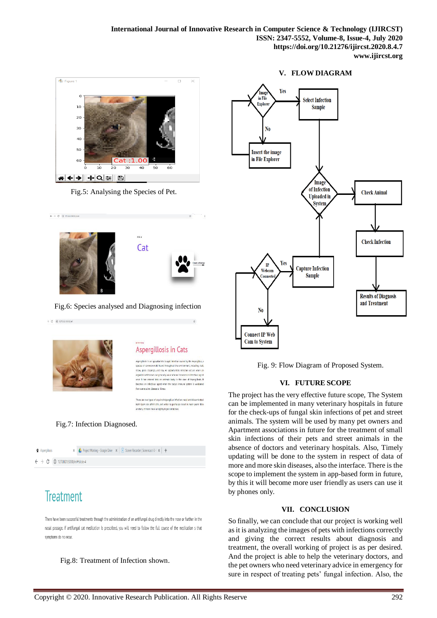**International Journal of Innovative Research in Computer Science & Technology (IJIRCST) ISSN: 2347-5552, Volume-8, Issue-4, July 2020 https://doi.org/10.21276/ijircst.2020.8.4.7 www.ijircst.org**



Fig.5: Analysing the Species of Pet.



Fig.6: Species analysed and Diagnosing infection

 $+ C = 0.127.0.0150264$ 



 $\leftarrow$   $\rightarrow$   $\sigma$   $\sigma$  127.00.15030/pred

# Aspergillosis in Cats

ies or common moto tound throughout the environment, including oust, species to common mowever our coupons are emitterment, missions and states approximately states and states and states and states and states and states and states and states and states and states and states and states and s .<br>from some other disease or illness.

.<br>There are two types of acquired Aspergillus infection: nasal and disser Bath types can affect cats and while no particular breed is more prone than another. Persians show a silabiliv higher incidence

# Fig.7: Infection Diagnosed.



# **Treatment**

There have been successful treatments through the administration of an antifungal drug directly into the nose or further in the nasal passage. If antifungal cat medication is prescribed, you will need to follow the full course of the medication s that symptoms do no recur

Fig.8: Treatment of Infection shown.

### **V. FLOW DIAGRAM**



Fig. 9: Flow Diagram of Proposed System.

# **VI. FUTURE SCOPE**

The project has the very effective future scope, The System can be implemented in many veterinary hospitals in future for the check-ups of fungal skin infections of pet and street animals. The system will be used by many pet owners and Apartment associations in future for the treatment of small skin infections of their pets and street animals in the absence of doctors and veterinary hospitals. Also, Timely updating will be done to the system in respect of data of more and more skin diseases, also the interface. There is the scope to implement the system in app-based form in future, by this it will become more user friendly as users can use it by phones only.

### **VII. CONCLUSION**

So finally, we can conclude that our project is working well as it is analyzing the images of pets with infections correctly and giving the correct results about diagnosis and treatment, the overall working of project is as per desired. And the project is able to help the veterinary doctors, and the pet owners who need veterinary advice in emergency for sure in respect of treating pets' fungal infection. Also, the